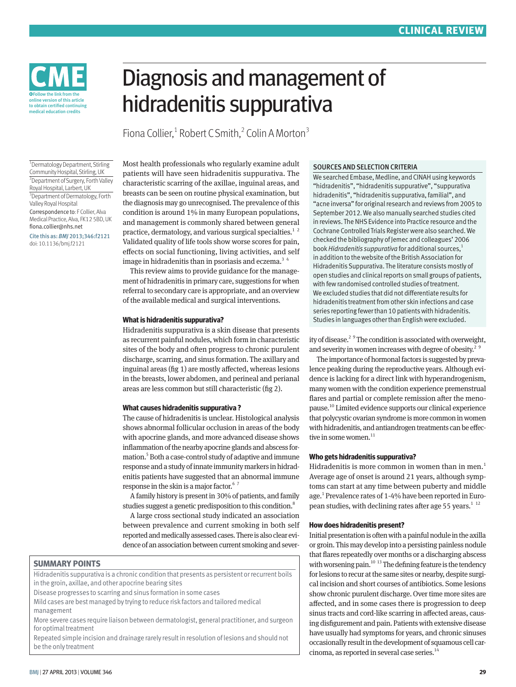

# Diagnosis and management of hidradenitis suppurativa

Fiona Collier, $1$  Robert C Smith, $2$  Colin A Morton $3$ 

1 Dermatology Department, Stirling Community Hospital, Stirling, UK 2 Department of Surgery, Forth Valley Royal Hospital, Larbert, UK <sup>3</sup> Department of Dermatology, Forth Valley Royal Hospital Correspondence to: F Collier, Alva Medical Practice, Alva, FK12 5BD, UK fiona.collier@nhs.net Cite this as: *BMJ* 2013;346:f2121 doi: 10.1136/bmj.f2121

Most health professionals who regularly examine adult patients will have seen hidradenitis suppurativa. The characteristic scarring of the axillae, inguinal areas, and breasts can be seen on routine physical examination, but the diagnosis may go unrecognised. The prevalence of this condition is around 1% in many European populations, and management is commonly shared between general practice, dermatology, and various surgical specialties.<sup>12</sup>

Validated quality of life tools show worse scores for pain, effects on social functioning, living activities, and self image in hidradenitis than in psoriasis and eczema.<sup>34</sup> This review aims to provide guidance for the management of hidradenitis in primary care, suggestions for when referral to secondary care is appropriate, and an overview

of the available medical and surgical interventions.

## **What is hidradenitis suppurativa?**

Hidradenitis suppurativa is a skin disease that presents as recurrent painful nodules, which form in characteristic sites of the body and often progress to chronic purulent discharge, scarring, and sinus formation. The axillary and inguinal areas (fig 1) are mostly affected, whereas lesions in the breasts, lower abdomen, and perineal and perianal areas are less common but still characteristic (fig 2).

## **What causes hidradenitis suppurativa ?**

The cause of hidradenitis is unclear. Histological analysis shows abnormal follicular occlusion in areas of the body with apocrine glands, and more advanced disease shows inflammation of the nearby apocrine glands and abscess formation.5 Both a case-control study of adaptive and immune response and a study of innate immunity markers in hidradenitis patients have suggested that an abnormal immune response in the skin is a major factor.<sup>6</sup>

A family history is present in 30% of patients, and family studies suggest a genetic predisposition to this condition.<sup>8</sup>

A large cross sectional study indicated an association between prevalence and current smoking in both self reported and medically assessed cases. There is also clear evidence of an association between current smoking and sever-

# **SUMMARY POINTS**

Hidradenitis suppurativa is a chronic condition that presents as persistent or recurrent boils in the groin, axillae, and other apocrine bearing sites

Disease progresses to scarring and sinus formation in some cases

Mild cases are best managed by trying to reduce risk factors and tailored medical management

More severe cases require liaison between dermatologist, general practitioner, and surgeon for optimal treatment

Repeated simple incision and drainage rarely result in resolution of lesions and should not be the only treatment

#### SOURCES AND SELECTION CRITERIA

We searched Embase, Medline, and CINAH using keywords "hidradenitis", "hidradenitis suppurative", "suppurativa hidradenitis", "hidradenitis suppurativa, familial", and "acne inversa" for original research and reviews from 2005 to September 2012. We also manually searched studies cited in reviews. The NHS Evidence into Practice resource and the Cochrane Controlled Trials Register were also searched. We checked the bibliography of Jemec and colleagues' 2006 book *Hidradenitis suppurativa* for additional sources,1 in addition to the website of the British Association for Hidradenitis Suppurativa. The literature consists mostly of open studies and clinical reports on small groups of patients, with few randomised controlled studies of treatment. We excluded studies that did not differentiate results for hidradenitis treatment from other skin infections and case series reporting fewer than 10 patients with hidradenitis. Studies in languages other than English were excluded.

ity of disease.<sup>2</sup> <sup>9</sup> The condition is associated with overweight, and severity in women increases with degree of obesity.<sup>2</sup>

The importance of hormonal factors is suggested by prevalence peaking during the reproductive years. Although evidence is lacking for a direct link with hyperandrogenism, many women with the condition experience premenstrual flares and partial or complete remission after the menopause.10 Limited evidence supports our clinical experience that polycystic ovarian syndrome is more common in women with hidradenitis, and antiandrogen treatments can be effective in some women. $11$ 

# **Who gets hidradenitis suppurativa?**

Hidradenitis is more common in women than in men.<sup>1</sup> Average age of onset is around 21 years, although symptoms can start at any time between puberty and middle age.<sup>1</sup> Prevalence rates of 1-4% have been reported in European studies, with declining rates after age 55 years. $1^{12}$ 

#### **How does hidradenitis present?**

Initial presentation is often with a painful nodule in the axilla or groin. This may develop into a persisting painless nodule that flares repeatedly over months or a discharging abscess with worsening pain.<sup>10</sup> <sup>13</sup> The defining feature is the tendency for lesions to recur at the same sites or nearby, despite surgical incision and short courses of antibiotics. Some lesions show chronic purulent discharge. Over time more sites are affected, and in some cases there is progression to deep sinus tracts and cord-like scarring in affected areas, causing disfigurement and pain. Patients with extensive disease have usually had symptoms for years, and chronic sinuses occasionally result in the development of squamous cell carcinoma, as reported in several case series. $14$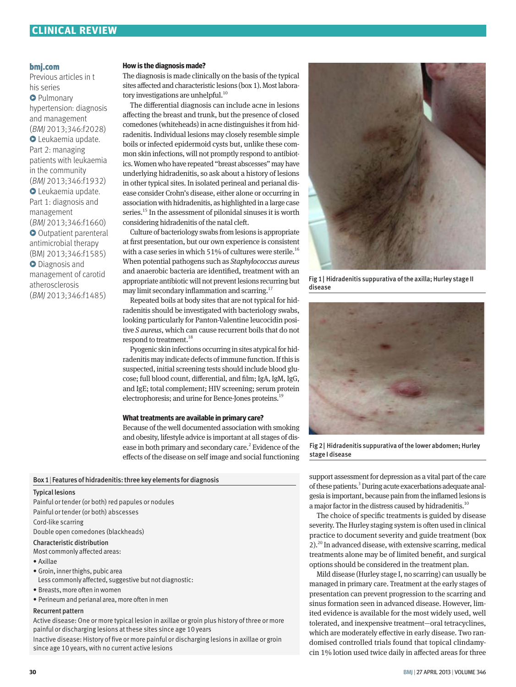# **CLINICAL REVIEW**

### **bmj.com**

Previous articles in t his series

**O** Pulmonary hypertension: diagnosis and management (BMJ 2013;346:f2028) **O** Leukaemia update. Part 2: managing patients with leukaemia in the community (BMJ 2013;346:f1932) **O** Leukaemia update. Part 1: diagnosis and management (BMJ 2013;346:f1660) **O** Outpatient parenteral antimicrobial therapy (BMJ 2013;346:f1585)  $\bullet$  Diagnosis and management of carotid atherosclerosis (BMJ 2013;346:f1485)

#### **How is the diagnosis made?**

The diagnosis is made clinically on the basis of the typical sites affected and characteristic lesions (box 1). Most laboratory investigations are unhelpful. $^{10}$ 

The differential diagnosis can include acne in lesions affecting the breast and trunk, but the presence of closed comedones (whiteheads) in acne distinguishes it from hidradenitis. Individual lesions may closely resemble simple boils or infected epidermoid cysts but, unlike these common skin infections, will not promptly respond to antibiotics. Women who have repeated "breast abscesses" may have underlying hidradenitis, so ask about a history of lesions in other typical sites. In isolated perineal and perianal disease consider Crohn's disease, either alone or occurring in association with hidradenitis, as highlighted in a large case series.<sup>15</sup> In the assessment of pilonidal sinuses it is worth considering hidradenitis of the natal cleft.

Culture of bacteriology swabs from lesions is appropriate at first presentation, but our own experience is consistent with a case series in which  $51\%$  of cultures were sterile.<sup>16</sup> When potential pathogens such as *Staphylococcus aureus* and anaerobic bacteria are identified, treatment with an appropriate antibiotic will not prevent lesions recurring but may limit secondary inflammation and scarring.<sup>17</sup>

Repeated boils at body sites that are not typical for hidradenitis should be investigated with bacteriology swabs, looking particularly for Panton-Valentine leucocidin positive *S aureus*, which can cause recurrent boils that do not respond to treatment.<sup>18</sup>

Pyogenic skin infections occurring in sites atypical for hidradenitis may indicate defects of immune function. If this is suspected, initial screening tests should include blood glucose; full blood count, differential, and film; IgA, IgM, IgG, and IgE; total complement; HIV screening; serum protein electrophoresis; and urine for Bence-Jones proteins.19

## **What treatments are available in primary care?**

Because of the well documented association with smoking and obesity, lifestyle advice is important at all stages of disease in both primary and secondary care.<sup>2</sup> Evidence of the effects of the disease on self image and social functioning

#### Box 1| Features of hidradenitis: three key elements for diagnosis

#### Typical lesions

Painful or tender (or both) red papules or nodules Painful or tender (or both) abscesses Cord-like scarring

Double open comedones (blackheads)

## Characteristic distribution

Most commonly affected areas:

- Axillae
- Groin, inner thighs, pubic area
- Less commonly affected, suggestive but not diagnostic:
- Breasts, more often in women
- Perineum and perianal area, more often in men

#### Recurrent pattern

Active disease: One or more typical lesion in axillae or groin plus history of three or more painful or discharging lesions at these sites since age 10 years

Inactive disease: History of five or more painful or discharging lesions in axillae or groin since age 10 years, with no current active lesions



Fig 1| Hidradenitis suppurativa of the axilla; Hurley stage II disease



Fig 2| Hidradenitis suppurativa of the lower abdomen; Hurley stage I disease

support assessment for depression as a vital part of the care of these patients.<sup>3</sup> During acute exacerbations adequate analgesia is important, because pain from the inflamed lesions is a major factor in the distress caused by hidradenitis.<sup>10</sup>

The choice of specific treatments is guided by disease severity. The Hurley staging system is often used in clinical practice to document severity and guide treatment (box 2).20 In advanced disease, with extensive scarring, medical treatments alone may be of limited benefit, and surgical options should be considered in the treatment plan.

Mild disease (Hurley stage I, no scarring) can usually be managed in primary care. Treatment at the early stages of presentation can prevent progression to the scarring and sinus formation seen in advanced disease. However, limited evidence is available for the most widely used, well tolerated, and inexpensive treatment—oral tetracyclines, which are moderately effective in early disease. Two randomised controlled trials found that topical clindamycin 1% lotion used twice daily in affected areas for three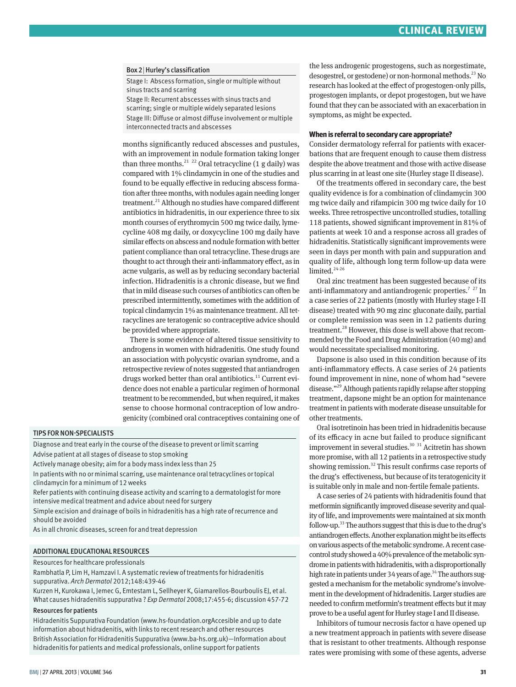#### Box 2|Hurley's classification

Stage I: Abscess formation, single or multiple without sinus tracts and scarring

Stage II: Recurrent abscesses with sinus tracts and scarring; single or multiple widely separated lesions Stage III: Diffuse or almost diffuse involvement or multiple interconnected tracts and abscesses

months significantly reduced abscesses and pustules, with an improvement in nodule formation taking longer than three months.<sup>21</sup> <sup>22</sup> Oral tetracycline (1 g daily) was compared with 1% clindamycin in one of the studies and found to be equally effective in reducing abscess formation after three months, with nodules again needing longer treatment.21 Although no studies have compared different antibiotics in hidradenitis, in our experience three to six month courses of erythromycin 500 mg twice daily, lymecycline 408 mg daily, or doxycycline 100 mg daily have similar effects on abscess and nodule formation with better patient compliance than oral tetracycline. These drugs are thought to act through their anti-inflammatory effect, as in acne vulgaris, as well as by reducing secondary bacterial infection. Hidradenitis is a chronic disease, but we find that in mild disease such courses of antibiotics can often be prescribed intermittently, sometimes with the addition of topical clindamycin 1% as maintenance treatment. All tetracyclines are teratogenic so contraceptive advice should be provided where appropriate.

There is some evidence of altered tissue sensitivity to androgens in women with hidradenitis. One study found an association with polycystic ovarian syndrome, and a retrospective review of notes suggested that antiandrogen drugs worked better than oral antibiotics.<sup>11</sup> Current evidence does not enable a particular regimen of hormonal treatment to be recommended, but when required, it makes sense to choose hormonal contraception of low androgenicity (combined oral contraceptives containing one of

## TIPS FOR NON-SPECIALISTS

Diagnose and treat early in the course of the disease to prevent or limit scarring Advise patient at all stages of disease to stop smoking

Actively manage obesity; aim for a body mass index less than 25

In patients with no or minimal scarring, use maintenance oral tetracyclines or topical clindamycin for a minimum of 12 weeks

Refer patients with continuing disease activity and scarring to a dermatologist for more intensive medical treatment and advice about need for surgery

Simple excision and drainage of boils in hidradenitis has a high rate of recurrence and should be avoided

As in all chronic diseases, screen for and treat depression

#### ADDITIONAL EDUCATIONAL RESOURCES

Resources for healthcare professionals

Rambhatla P, Lim H, Hamzavi I. A systematic review of treatments for hidradenitis suppurativa. *Arch Dermatol* 2012;148:439-46

Kurzen H, Kurokawa I, Jemec G, Emtestam L, Sellheyer K, Giamarellos-Bourboulis EJ, et al. What causes hidradenitis suppurativa ? *Exp Dermatol* 2008;17:455-6; discussion 457-72

## Resources for patients

Hidradenitis Suppurativa Foundation (www.hs-foundation.orgAccesible and up to date information about hidradenitis, with links to recent research and other resources British Association for Hidradenitis Suppurativa (www.ba-hs.org.uk)—Information about hidradenitis for patients and medical professionals, online support for patients

the less androgenic progestogens, such as norgestimate, desogestrel, or gestodene) or non-hormonal methods.<sup>23</sup> No research has looked at the effect of progestogen-only pills, progestogen implants, or depot progestogen, but we have found that they can be associated with an exacerbation in symptoms, as might be expected.

#### **When is referral to secondary care appropriate?**

Consider dermatology referral for patients with exacerbations that are frequent enough to cause them distress despite the above treatment and those with active disease plus scarring in at least one site (Hurley stage II disease).

Of the treatments offered in secondary care, the best quality evidence is for a combination of clindamycin 300 mg twice daily and rifampicin 300 mg twice daily for 10 weeks. Three retrospective uncontrolled studies, totalling 118 patients, showed significant improvement in 81% of patients at week 10 and a response across all grades of hidradenitis. Statistically significant improvements were seen in days per month with pain and suppuration and quality of life, although long term follow-up data were limited.<sup>24-26</sup>

Oral zinc treatment has been suggested because of its anti-inflammatory and antiandrogenic properties.<sup>7</sup> <sup>27</sup> In a case series of 22 patients (mostly with Hurley stage I-II disease) treated with 90 mg zinc gluconate daily, partial or complete remission was seen in 12 patients during treatment.<sup>28</sup> However, this dose is well above that recommended by the Food and Drug Administration (40 mg) and would necessitate specialised monitoring.

Dapsone is also used in this condition because of its anti-inflammatory effects. A case series of 24 patients found improvement in nine, none of whom had "severe disease."29 Although patients rapidly relapse after stopping treatment, dapsone might be an option for maintenance treatment in patients with moderate disease unsuitable for other treatments.

Oral isotretinoin has been tried in hidradenitis because of its efficacy in acne but failed to produce significant improvement in several studies.<sup>30</sup>  $31$  Acitretin has shown more promise, with all 12 patients in a retrospective study showing remission.<sup>32</sup> This result confirms case reports of the drug's effectiveness, but because of its teratogenicity it is suitable only in male and non-fertile female patients.

A case series of 24 patients with hidradenitis found that metformin significantly improved disease severity and quality of life, and improvements were maintained at six month follow-up.33 The authors suggest that this is due to the drug's antiandrogen effects. Another explanation might be its effects on various aspects of the metabolic syndrome. A recent casecontrol study showed a 40% prevalence of the metabolic syndrome in patients with hidradenitis, with a disproportionally high rate in patients under 34 years of age.<sup>34</sup> The authors suggested a mechanism for the metabolic syndrome's involvement in the development of hidradenitis. Larger studies are needed to confirm metformin's treatment effects but it may prove to be a useful agent for Hurley stage I and II disease.

Inhibitors of tumour necrosis factor α have opened up a new treatment approach in patients with severe disease that is resistant to other treatments. Although response rates were promising with some of these agents, adverse